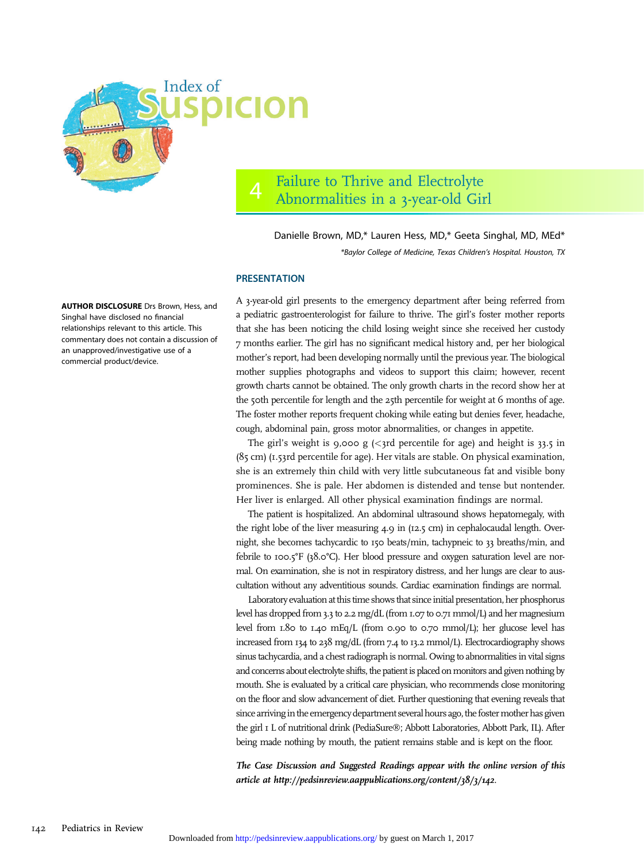

## 4 Failure to Thrive and Electrolyte Abnormalities in a 3-year-old Girl

Danielle Brown, MD,\* Lauren Hess, MD,\* Geeta Singhal, MD, MEd\* \*Baylor College of Medicine, Texas Children's Hospital. Houston, TX

## **PRESENTATION**

A 3-year-old girl presents to the emergency department after being referred from a pediatric gastroenterologist for failure to thrive. The girl's foster mother reports that she has been noticing the child losing weight since she received her custody 7 months earlier. The girl has no significant medical history and, per her biological mother's report, had been developing normally until the previous year. The biological mother supplies photographs and videos to support this claim; however, recent growth charts cannot be obtained. The only growth charts in the record show her at the 50th percentile for length and the 25th percentile for weight at 6 months of age. The foster mother reports frequent choking while eating but denies fever, headache, cough, abdominal pain, gross motor abnormalities, or changes in appetite.

The girl's weight is 9,000 g  $\langle$ 3rd percentile for age) and height is 33.5 in (85 cm) (1.53rd percentile for age). Her vitals are stable. On physical examination, she is an extremely thin child with very little subcutaneous fat and visible bony prominences. She is pale. Her abdomen is distended and tense but nontender. Her liver is enlarged. All other physical examination findings are normal.

The patient is hospitalized. An abdominal ultrasound shows hepatomegaly, with the right lobe of the liver measuring 4.9 in (12.5 cm) in cephalocaudal length. Overnight, she becomes tachycardic to 150 beats/min, tachypneic to 33 breaths/min, and febrile to 100.5°F (38.0°C). Her blood pressure and oxygen saturation level are normal. On examination, she is not in respiratory distress, and her lungs are clear to auscultation without any adventitious sounds. Cardiac examination findings are normal.

Laboratory evaluation at this time shows that since initial presentation, her phosphorus level has dropped from 3.3 to 2.2 mg/dL (from 1.07 to 0.71 mmol/L) and her magnesium level from 1.80 to 1.40 mEq/L (from 0.90 to 0.70 mmol/L); her glucose level has increased from 134 to 238 mg/dL (from 7.4 to 13.2 mmol/L). Electrocardiography shows sinus tachycardia, and a chest radiograph is normal. Owing to abnormalities in vital signs and concerns about electrolyte shifts, the patient is placed on monitors and given nothing by mouth. She is evaluated by a critical care physician, who recommends close monitoring on the floor and slow advancement of diet. Further questioning that evening reveals that since arriving in the emergency department several hours ago, the foster mother has given the girl I L of nutritional drink (PediaSure®; Abbott Laboratories, Abbott Park, IL). After being made nothing by mouth, the patient remains stable and is kept on the floor.

The Case Discussion and Suggested Readings appear with the online version of this article at<http://pedsinreview.aappublications.org/content/38/3/142>.

AUTHOR DISCLOSURE Drs Brown, Hess, and Singhal have disclosed no financial relationships relevant to this article. This commentary does not contain a discussion of an unapproved/investigative use of a commercial product/device.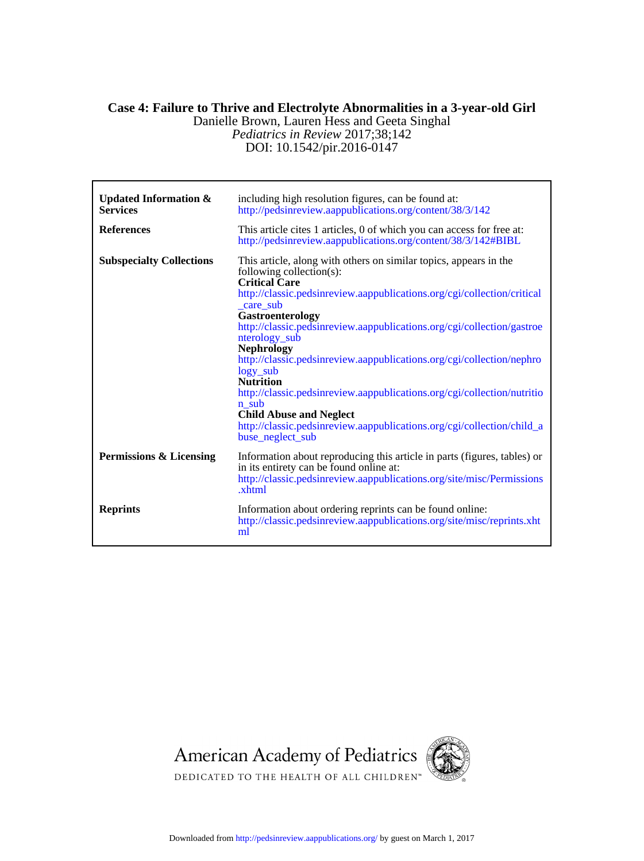## DOI: 10.1542/pir.2016-0147 *Pediatrics in Review* 2017;38;142 Danielle Brown, Lauren Hess and Geeta Singhal **Case 4: Failure to Thrive and Electrolyte Abnormalities in a 3-year-old Girl**

| <b>Updated Information &amp;</b><br><b>Services</b> | including high resolution figures, can be found at:<br>http://pedsinreview.aappublications.org/content/38/3/142                                                                                                                                                                                                                                                                                                                                                                                                                                                                                                                                                                      |
|-----------------------------------------------------|--------------------------------------------------------------------------------------------------------------------------------------------------------------------------------------------------------------------------------------------------------------------------------------------------------------------------------------------------------------------------------------------------------------------------------------------------------------------------------------------------------------------------------------------------------------------------------------------------------------------------------------------------------------------------------------|
| <b>References</b>                                   | This article cites 1 articles, 0 of which you can access for free at:<br>http://pedsinreview.aappublications.org/content/38/3/142#BIBL                                                                                                                                                                                                                                                                                                                                                                                                                                                                                                                                               |
| <b>Subspecialty Collections</b>                     | This article, along with others on similar topics, appears in the<br>following collection $(s)$ :<br><b>Critical Care</b><br>http://classic.pedsinreview.aappublications.org/cgi/collection/critical<br>care sub<br>Gastroenterology<br>http://classic.pedsinreview.aappublications.org/cgi/collection/gastroe<br>nterology sub<br><b>Nephrology</b><br>http://classic.pedsinreview.aappublications.org/cgi/collection/nephro<br>$logy$ _sub<br><b>Nutrition</b><br>http://classic.pedsinreview.aappublications.org/cgi/collection/nutritio<br>n sub<br><b>Child Abuse and Neglect</b><br>http://classic.pedsinreview.aappublications.org/cgi/collection/child_a<br>buse neglect sub |
| <b>Permissions &amp; Licensing</b>                  | Information about reproducing this article in parts (figures, tables) or<br>in its entirety can be found online at:<br>http://classic.pedsinreview.aappublications.org/site/misc/Permissions<br>xhtml                                                                                                                                                                                                                                                                                                                                                                                                                                                                                |
| <b>Reprints</b>                                     | Information about ordering reprints can be found online:<br>http://classic.pedsinreview.aappublications.org/site/misc/reprints.xht<br>ml                                                                                                                                                                                                                                                                                                                                                                                                                                                                                                                                             |